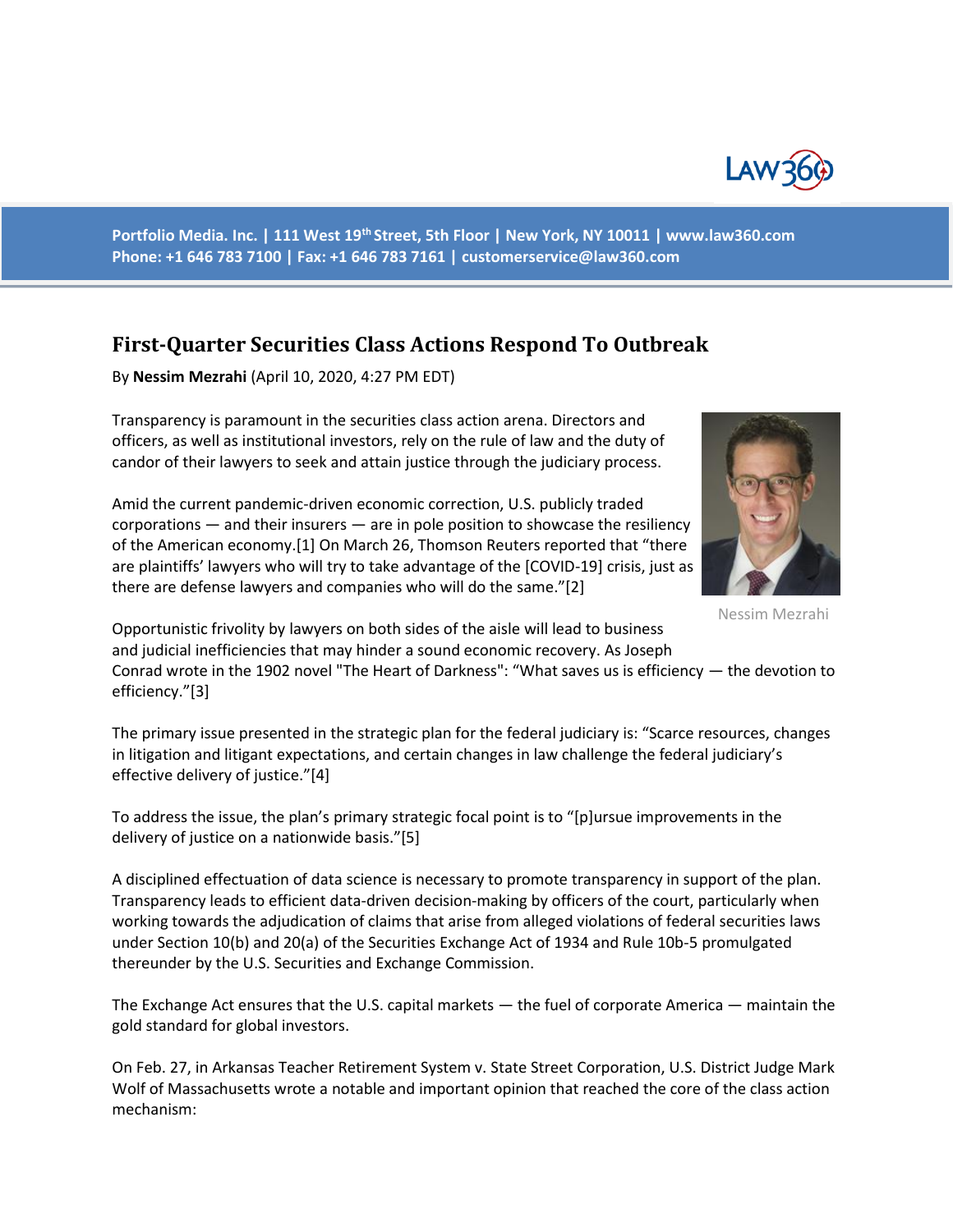

**Portfolio Media. Inc. | 111 West 19th Street, 5th Floor | New York, NY 10011 | www.law360.com Phone: +1 646 783 7100 | Fax: +1 646 783 7161 | customerservice@law360.com**

## **First-Quarter Securities Class Actions Respond To Outbreak**

By **Nessim Mezrahi** (April 10, 2020, 4:27 PM EDT)

Transparency is paramount in the securities class action arena. Directors and officers, as well as institutional investors, rely on the rule of law and the duty of candor of their lawyers to seek and attain justice through the judiciary process.

Amid the current pandemic-driven economic correction, U.S. publicly traded



Nessim Mezrahi

corporations — and their insurers — are in pole position to showcase the resiliency of the American economy.[1] On March 26, Thomson Reuters reported that "there are plaintiffs' lawyers who will try to take advantage of the [COVID-19] crisis, just as there are defense lawyers and companies who will do the same."[2]

Opportunistic frivolity by lawyers on both sides of the aisle will lead to business and judicial inefficiencies that may hinder a sound economic recovery. As Joseph Conrad wrote in the 1902 novel "The Heart of Darkness": "What saves us is efficiency — the devotion to efficiency."[3]

The primary issue presented in the strategic plan for the federal judiciary is: "Scarce resources, changes in litigation and litigant expectations, and certain changes in law challenge the federal judiciary's effective delivery of justice."[4]

To address the issue, the plan's primary strategic focal point is to "[p]ursue improvements in the delivery of justice on a nationwide basis."[5]

A disciplined effectuation of data science is necessary to promote transparency in support of the plan. Transparency leads to efficient data-driven decision-making by officers of the court, particularly when working towards the adjudication of claims that arise from alleged violations of federal securities laws under Section 10(b) and 20(a) of the Securities Exchange Act of 1934 and Rule 10b-5 promulgated thereunder by the U.S. Securities and Exchange Commission.

The Exchange Act ensures that the U.S. capital markets — the fuel of corporate America — maintain the gold standard for global investors.

On Feb. 27, in Arkansas Teacher Retirement System v. State Street Corporation, U.S. District Judge Mark Wolf of Massachusetts wrote a notable and important opinion that reached the core of the class action mechanism: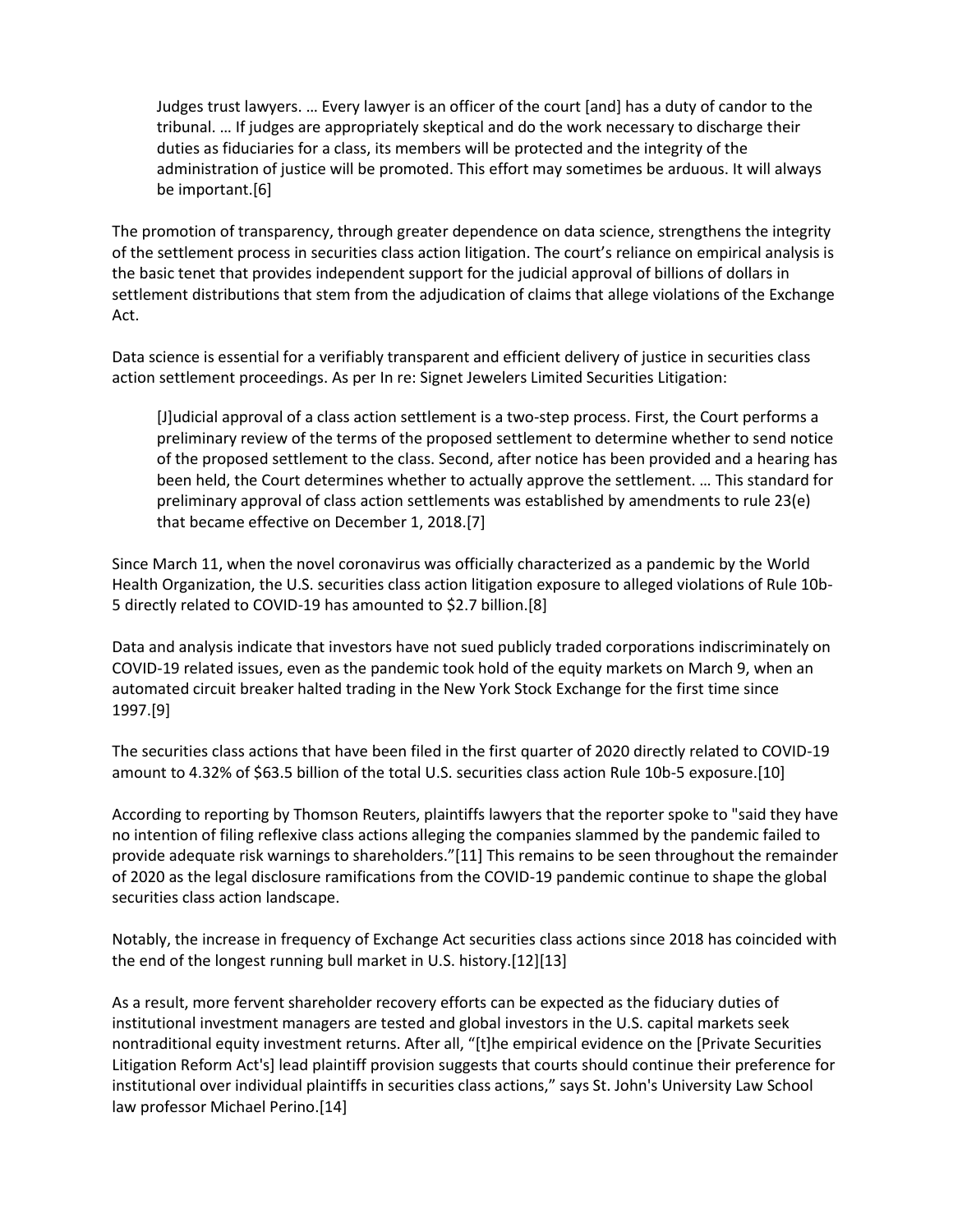Judges trust lawyers. … Every lawyer is an officer of the court [and] has a duty of candor to the tribunal. … If judges are appropriately skeptical and do the work necessary to discharge their duties as fiduciaries for a class, its members will be protected and the integrity of the administration of justice will be promoted. This effort may sometimes be arduous. It will always be important.[6]

The promotion of transparency, through greater dependence on data science, strengthens the integrity of the settlement process in securities class action litigation. The court's reliance on empirical analysis is the basic tenet that provides independent support for the judicial approval of billions of dollars in settlement distributions that stem from the adjudication of claims that allege violations of the Exchange Act.

Data science is essential for a verifiably transparent and efficient delivery of justice in securities class action settlement proceedings. As per In re: Signet Jewelers Limited Securities Litigation:

[J]udicial approval of a class action settlement is a two-step process. First, the Court performs a preliminary review of the terms of the proposed settlement to determine whether to send notice of the proposed settlement to the class. Second, after notice has been provided and a hearing has been held, the Court determines whether to actually approve the settlement. … This standard for preliminary approval of class action settlements was established by amendments to rule 23(e) that became effective on December 1, 2018.[7]

Since March 11, when the novel coronavirus was officially characterized as a pandemic by the World Health Organization, the U.S. securities class action litigation exposure to alleged violations of Rule 10b-5 directly related to COVID-19 has amounted to \$2.7 billion.[8]

Data and analysis indicate that investors have not sued publicly traded corporations indiscriminately on COVID-19 related issues, even as the pandemic took hold of the equity markets on March 9, when an automated circuit breaker halted trading in the New York Stock Exchange for the first time since 1997.[9]

The securities class actions that have been filed in the first quarter of 2020 directly related to COVID-19 amount to 4.32% of \$63.5 billion of the total U.S. securities class action Rule 10b-5 exposure.[10]

According to reporting by Thomson Reuters, plaintiffs lawyers that the reporter spoke to "said they have no intention of filing reflexive class actions alleging the companies slammed by the pandemic failed to provide adequate risk warnings to shareholders."[11] This remains to be seen throughout the remainder of 2020 as the legal disclosure ramifications from the COVID-19 pandemic continue to shape the global securities class action landscape.

Notably, the increase in frequency of Exchange Act securities class actions since 2018 has coincided with the end of the longest running bull market in U.S. history.[12][13]

As a result, more fervent shareholder recovery efforts can be expected as the fiduciary duties of institutional investment managers are tested and global investors in the U.S. capital markets seek nontraditional equity investment returns. After all, "[t]he empirical evidence on the [Private Securities Litigation Reform Act's] lead plaintiff provision suggests that courts should continue their preference for institutional over individual plaintiffs in securities class actions," says St. John's University Law School law professor Michael Perino.[14]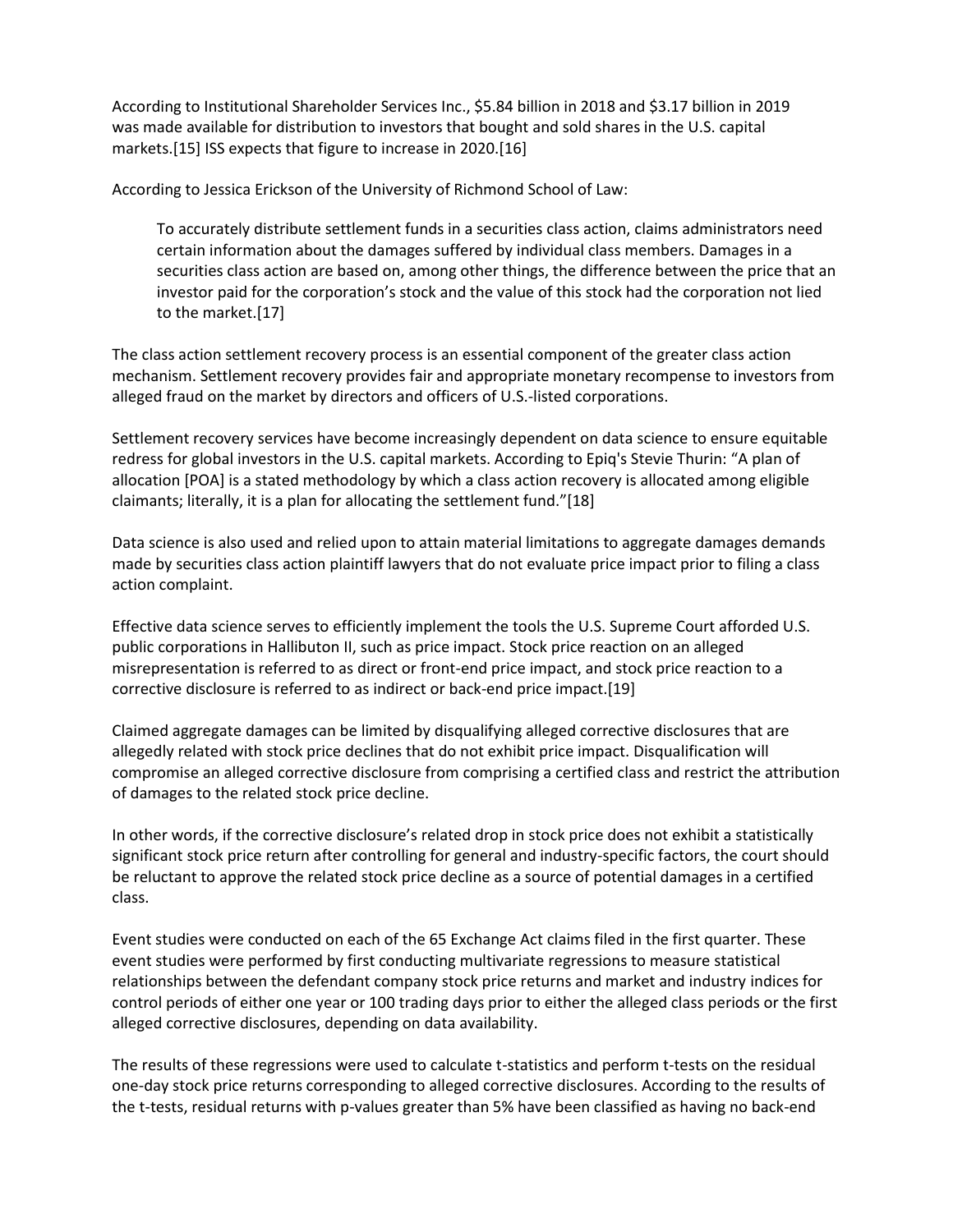According to Institutional Shareholder Services Inc., \$5.84 billion in 2018 and \$3.17 billion in 2019 was made available for distribution to investors that bought and sold shares in the U.S. capital markets.[15] ISS expects that figure to increase in 2020.[16]

According to Jessica Erickson of the University of Richmond School of Law:

To accurately distribute settlement funds in a securities class action, claims administrators need certain information about the damages suffered by individual class members. Damages in a securities class action are based on, among other things, the difference between the price that an investor paid for the corporation's stock and the value of this stock had the corporation not lied to the market.[17]

The class action settlement recovery process is an essential component of the greater class action mechanism. Settlement recovery provides fair and appropriate monetary recompense to investors from alleged fraud on the market by directors and officers of U.S.-listed corporations.

Settlement recovery services have become increasingly dependent on data science to ensure equitable redress for global investors in the U.S. capital markets. According to Epiq's Stevie Thurin: "A plan of allocation [POA] is a stated methodology by which a class action recovery is allocated among eligible claimants; literally, it is a plan for allocating the settlement fund."[18]

Data science is also used and relied upon to attain material limitations to aggregate damages demands made by securities class action plaintiff lawyers that do not evaluate price impact prior to filing a class action complaint.

Effective data science serves to efficiently implement the tools the U.S. Supreme Court afforded U.S. public corporations in Hallibuton II, such as price impact. Stock price reaction on an alleged misrepresentation is referred to as direct or front-end price impact, and stock price reaction to a corrective disclosure is referred to as indirect or back-end price impact.[19]

Claimed aggregate damages can be limited by disqualifying alleged corrective disclosures that are allegedly related with stock price declines that do not exhibit price impact. Disqualification will compromise an alleged corrective disclosure from comprising a certified class and restrict the attribution of damages to the related stock price decline.

In other words, if the corrective disclosure's related drop in stock price does not exhibit a statistically significant stock price return after controlling for general and industry-specific factors, the court should be reluctant to approve the related stock price decline as a source of potential damages in a certified class.

Event studies were conducted on each of the 65 Exchange Act claims filed in the first quarter. These event studies were performed by first conducting multivariate regressions to measure statistical relationships between the defendant company stock price returns and market and industry indices for control periods of either one year or 100 trading days prior to either the alleged class periods or the first alleged corrective disclosures, depending on data availability.

The results of these regressions were used to calculate t-statistics and perform t-tests on the residual one-day stock price returns corresponding to alleged corrective disclosures. According to the results of the t-tests, residual returns with p-values greater than 5% have been classified as having no back-end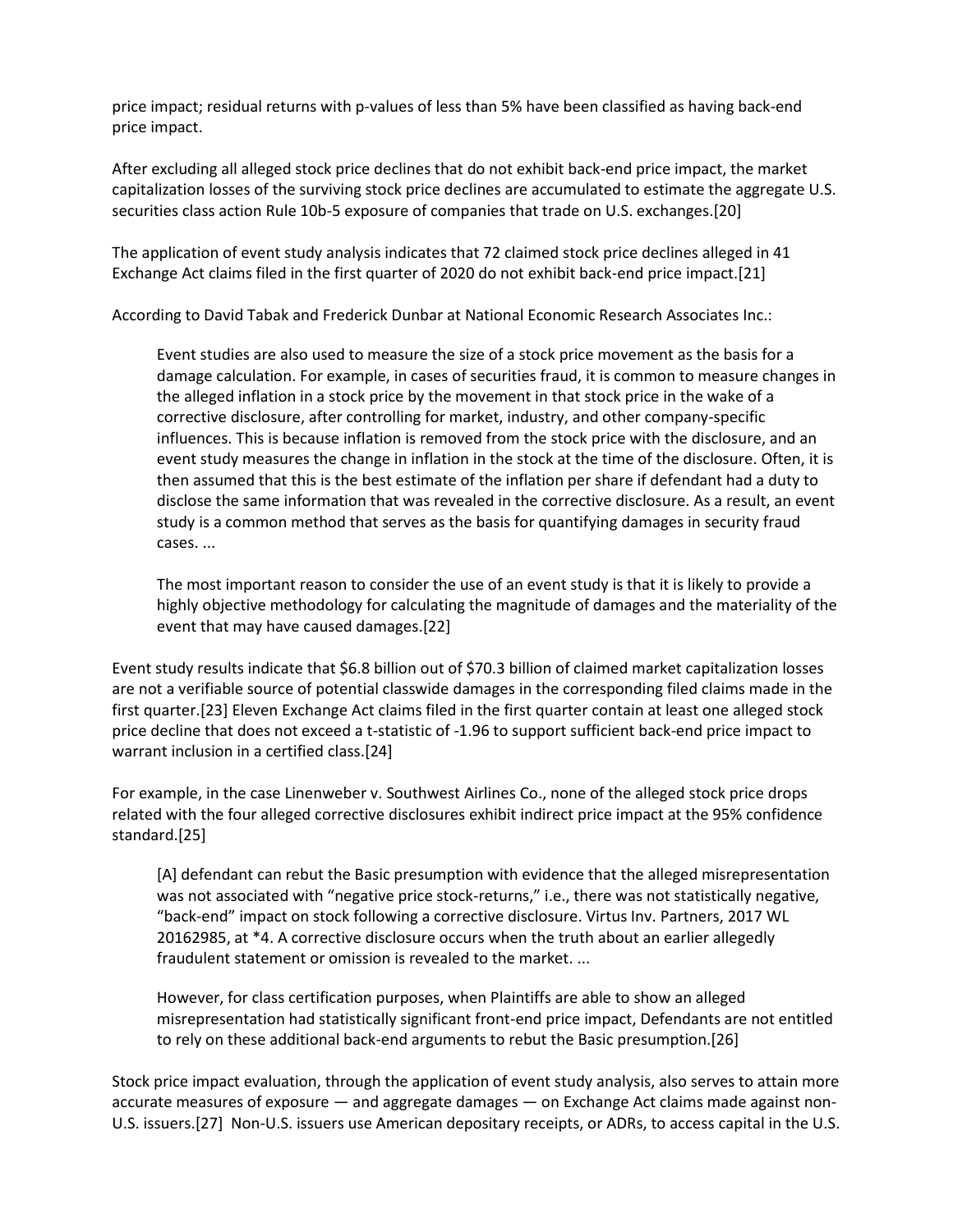price impact; residual returns with p-values of less than 5% have been classified as having back-end price impact.

After excluding all alleged stock price declines that do not exhibit back-end price impact, the market capitalization losses of the surviving stock price declines are accumulated to estimate the aggregate U.S. securities class action Rule 10b-5 exposure of companies that trade on U.S. exchanges.[20]

The application of event study analysis indicates that 72 claimed stock price declines alleged in 41 Exchange Act claims filed in the first quarter of 2020 do not exhibit back-end price impact.[21]

According to David Tabak and Frederick Dunbar at National Economic Research Associates Inc.:

Event studies are also used to measure the size of a stock price movement as the basis for a damage calculation. For example, in cases of securities fraud, it is common to measure changes in the alleged inflation in a stock price by the movement in that stock price in the wake of a corrective disclosure, after controlling for market, industry, and other company-specific influences. This is because inflation is removed from the stock price with the disclosure, and an event study measures the change in inflation in the stock at the time of the disclosure. Often, it is then assumed that this is the best estimate of the inflation per share if defendant had a duty to disclose the same information that was revealed in the corrective disclosure. As a result, an event study is a common method that serves as the basis for quantifying damages in security fraud cases. ...

The most important reason to consider the use of an event study is that it is likely to provide a highly objective methodology for calculating the magnitude of damages and the materiality of the event that may have caused damages.[22]

Event study results indicate that \$6.8 billion out of \$70.3 billion of claimed market capitalization losses are not a verifiable source of potential classwide damages in the corresponding filed claims made in the first quarter.[23] Eleven Exchange Act claims filed in the first quarter contain at least one alleged stock price decline that does not exceed a t-statistic of -1.96 to support sufficient back-end price impact to warrant inclusion in a certified class.[24]

For example, in the case Linenweber v. Southwest Airlines Co., none of the alleged stock price drops related with the four alleged corrective disclosures exhibit indirect price impact at the 95% confidence standard.[25]

[A] defendant can rebut the Basic presumption with evidence that the alleged misrepresentation was not associated with "negative price stock-returns," i.e., there was not statistically negative, "back-end" impact on stock following a corrective disclosure. Virtus Inv. Partners, 2017 WL 20162985, at \*4. A corrective disclosure occurs when the truth about an earlier allegedly fraudulent statement or omission is revealed to the market. ...

However, for class certification purposes, when Plaintiffs are able to show an alleged misrepresentation had statistically significant front-end price impact, Defendants are not entitled to rely on these additional back-end arguments to rebut the Basic presumption.[26]

Stock price impact evaluation, through the application of event study analysis, also serves to attain more accurate measures of exposure — and aggregate damages — on Exchange Act claims made against non-U.S. issuers.[27] Non-U.S. issuers use American depositary receipts, or ADRs, to access capital in the U.S.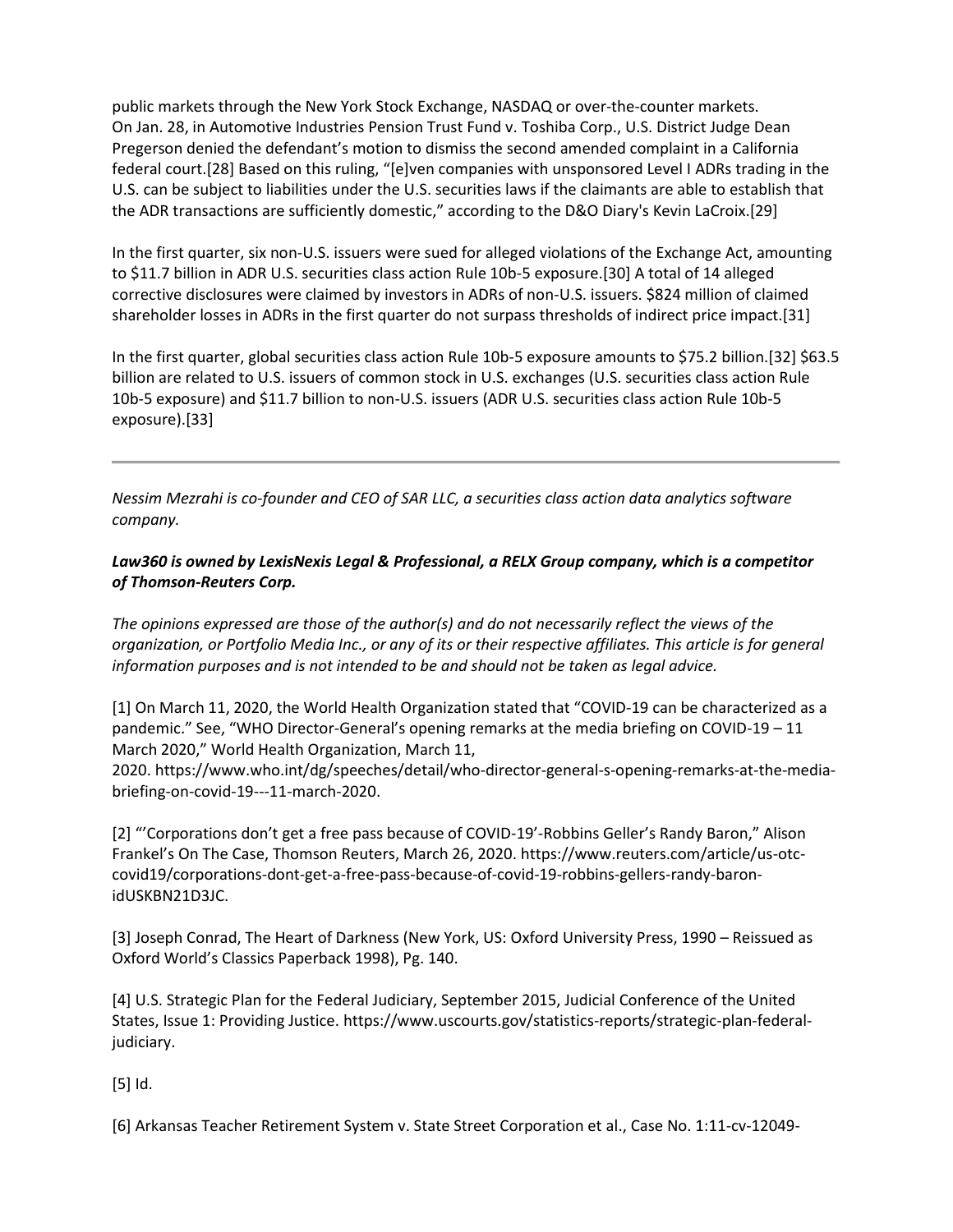public markets through the New York Stock Exchange, NASDAQ or over-the-counter markets. On Jan. 28, in Automotive Industries Pension Trust Fund v. Toshiba Corp., U.S. District Judge Dean Pregerson denied the defendant's motion to dismiss the second amended complaint in a California federal court.[28] Based on this ruling, "[e]ven companies with unsponsored Level I ADRs trading in the U.S. can be subject to liabilities under the U.S. securities laws if the claimants are able to establish that the ADR transactions are sufficiently domestic," according to the D&O Diary's Kevin LaCroix.[29]

In the first quarter, six non-U.S. issuers were sued for alleged violations of the Exchange Act, amounting to \$11.7 billion in ADR U.S. securities class action Rule 10b-5 exposure.[30] A total of 14 alleged corrective disclosures were claimed by investors in ADRs of non-U.S. issuers. \$824 million of claimed shareholder losses in ADRs in the first quarter do not surpass thresholds of indirect price impact.[31]

In the first quarter, global securities class action Rule 10b-5 exposure amounts to \$75.2 billion.[32] \$63.5 billion are related to U.S. issuers of common stock in U.S. exchanges (U.S. securities class action Rule 10b-5 exposure) and \$11.7 billion to non-U.S. issuers (ADR U.S. securities class action Rule 10b-5 exposure).[33]

*Nessim Mezrahi is co-founder and CEO of SAR LLC, a securities class action data analytics software company.*

## *Law360 is owned by LexisNexis Legal & Professional, a RELX Group company, which is a competitor of Thomson-Reuters Corp.*

*The opinions expressed are those of the author(s) and do not necessarily reflect the views of the organization, or Portfolio Media Inc., or any of its or their respective affiliates. This article is for general information purposes and is not intended to be and should not be taken as legal advice.*

[1] On March 11, 2020, the World Health Organization stated that "COVID-19 can be characterized as a pandemic." See, "WHO Director-General's opening remarks at the media briefing on COVID-19 – 11 March 2020," World Health Organization, March 11,

2020. https://www.who.int/dg/speeches/detail/who-director-general-s-opening-remarks-at-the-mediabriefing-on-covid-19---11-march-2020.

[2] "'Corporations don't get a free pass because of COVID-19'-Robbins Geller's Randy Baron," Alison Frankel's On The Case, Thomson Reuters, March 26, 2020. https://www.reuters.com/article/us-otccovid19/corporations-dont-get-a-free-pass-because-of-covid-19-robbins-gellers-randy-baronidUSKBN21D3JC.

[3] Joseph Conrad, The Heart of Darkness (New York, US: Oxford University Press, 1990 – Reissued as Oxford World's Classics Paperback 1998), Pg. 140.

[4] U.S. Strategic Plan for the Federal Judiciary, September 2015, Judicial Conference of the United States, Issue 1: Providing Justice. https://www.uscourts.gov/statistics-reports/strategic-plan-federaljudiciary.

[5] Id.

[6] Arkansas Teacher Retirement System v. State Street Corporation et al., Case No. 1:11-cv-12049-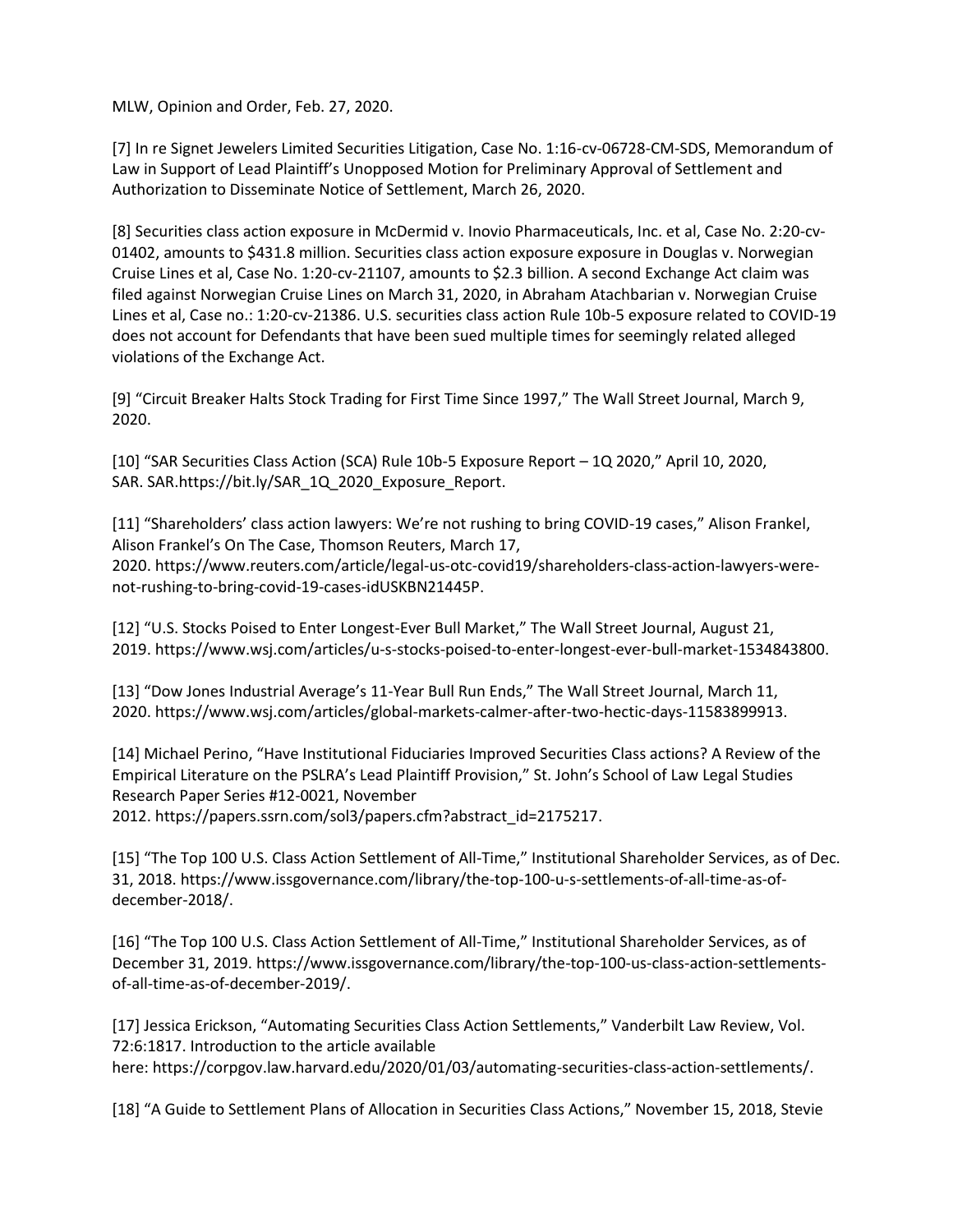MLW, Opinion and Order, Feb. 27, 2020.

[7] In re Signet Jewelers Limited Securities Litigation, Case No. 1:16-cv-06728-CM-SDS, Memorandum of Law in Support of Lead Plaintiff's Unopposed Motion for Preliminary Approval of Settlement and Authorization to Disseminate Notice of Settlement, March 26, 2020.

[8] Securities class action exposure in McDermid v. Inovio Pharmaceuticals, Inc. et al, Case No. 2:20-cv-01402, amounts to \$431.8 million. Securities class action exposure exposure in Douglas v. Norwegian Cruise Lines et al, Case No. 1:20-cv-21107, amounts to \$2.3 billion. A second Exchange Act claim was filed against Norwegian Cruise Lines on March 31, 2020, in Abraham Atachbarian v. Norwegian Cruise Lines et al, Case no.: 1:20-cv-21386. U.S. securities class action Rule 10b-5 exposure related to COVID-19 does not account for Defendants that have been sued multiple times for seemingly related alleged violations of the Exchange Act.

[9] "Circuit Breaker Halts Stock Trading for First Time Since 1997," The Wall Street Journal, March 9, 2020.

[10] "SAR Securities Class Action (SCA) Rule 10b-5 Exposure Report – 1Q 2020," April 10, 2020, SAR. SAR.https://bit.ly/SAR\_1Q\_2020\_Exposure\_Report.

[11] "Shareholders' class action lawyers: We're not rushing to bring COVID-19 cases," Alison Frankel, Alison Frankel's On The Case, Thomson Reuters, March 17, 2020. https://www.reuters.com/article/legal-us-otc-covid19/shareholders-class-action-lawyers-werenot-rushing-to-bring-covid-19-cases-idUSKBN21445P.

[12] "U.S. Stocks Poised to Enter Longest-Ever Bull Market," The Wall Street Journal, August 21, 2019. https://www.wsj.com/articles/u-s-stocks-poised-to-enter-longest-ever-bull-market-1534843800.

[13] "Dow Jones Industrial Average's 11-Year Bull Run Ends," The Wall Street Journal, March 11, 2020. https://www.wsj.com/articles/global-markets-calmer-after-two-hectic-days-11583899913.

[14] Michael Perino, "Have Institutional Fiduciaries Improved Securities Class actions? A Review of the Empirical Literature on the PSLRA's Lead Plaintiff Provision," St. John's School of Law Legal Studies Research Paper Series #12-0021, November

2012. https://papers.ssrn.com/sol3/papers.cfm?abstract\_id=2175217.

[15] "The Top 100 U.S. Class Action Settlement of All-Time," Institutional Shareholder Services, as of Dec. 31, 2018. https://www.issgovernance.com/library/the-top-100-u-s-settlements-of-all-time-as-ofdecember-2018/.

[16] "The Top 100 U.S. Class Action Settlement of All-Time," Institutional Shareholder Services, as of December 31, 2019. https://www.issgovernance.com/library/the-top-100-us-class-action-settlementsof-all-time-as-of-december-2019/.

[17] Jessica Erickson, "Automating Securities Class Action Settlements," Vanderbilt Law Review, Vol. 72:6:1817. Introduction to the article available here: https://corpgov.law.harvard.edu/2020/01/03/automating-securities-class-action-settlements/.

[18] "A Guide to Settlement Plans of Allocation in Securities Class Actions," November 15, 2018, Stevie